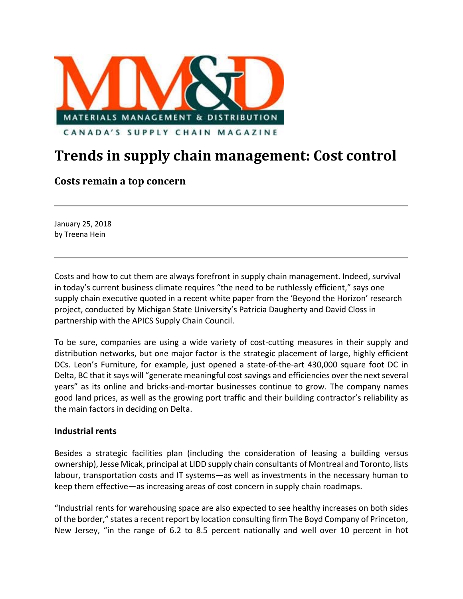

## **Trends in supply chain management: Cost control**

## **Costs remain a top concern**

January 25, 2018 by Treena Hein

Costs and how to cut them are always forefront in supply chain management. Indeed, survival in today's current business climate requires "the need to be ruthlessly efficient," says one supply chain executive quoted in a recent white paper from the 'Beyond the Horizon' research project, conducted by Michigan State University's Patricia Daugherty and David Closs in partnership with the APICS Supply Chain Council.

To be sure, companies are using a wide variety of cost-cutting measures in their supply and distribution networks, but one major factor is the strategic placement of large, highly efficient DCs. Leon's Furniture, for example, just opened a state-of-the-art 430,000 square foot DC in Delta, BC that it says will "generate meaningful cost savings and efficiencies over the next several years" as its online and bricks‐and‐mortar businesses continue to grow. The company names good land prices, as well as the growing port traffic and their building contractor's reliability as the main factors in deciding on Delta.

## **Industrial rents**

Besides a strategic facilities plan (including the consideration of leasing a building versus ownership), Jesse Micak, principal at LIDD supply chain consultants of Montreal and Toronto, lists labour, transportation costs and IT systems—as well as investments in the necessary human to keep them effective—as increasing areas of cost concern in supply chain roadmaps.

"Industrial rents for warehousing space are also expected to see healthy increases on both sides of the border," states a recent report by location consulting firm The Boyd Company of Princeton, New Jersey, "in the range of 6.2 to 8.5 percent nationally and well over 10 percent in hot